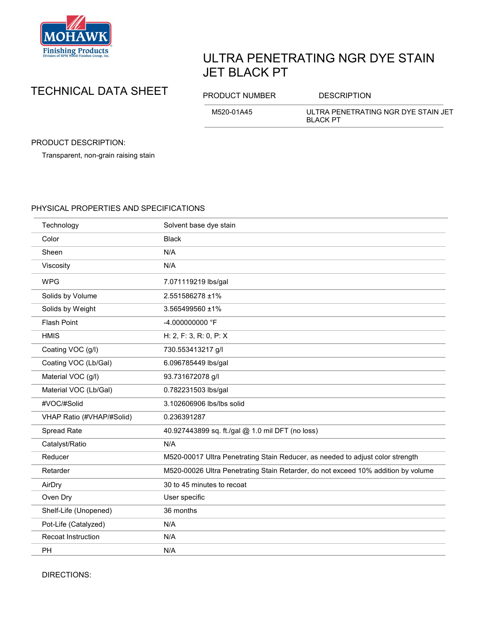

## ULTRA PENETRATING NGR DYE STAIN JET BLACK PT

## TECHNICAL DATA SHEET PRODUCT NUMBER DESCRIPTION

M520-01A45 ULTRA PENETRATING NGR DYE STAIN JET BLACK PT

PRODUCT DESCRIPTION:

Transparent, non-grain raising stain

## PHYSICAL PROPERTIES AND SPECIFICATIONS

| Technology                | Solvent base dye stain                                                            |
|---------------------------|-----------------------------------------------------------------------------------|
| Color                     | <b>Black</b>                                                                      |
| Sheen                     | N/A                                                                               |
| Viscosity                 | N/A                                                                               |
| <b>WPG</b>                | 7.071119219 lbs/gal                                                               |
| Solids by Volume          | 2.551586278 ±1%                                                                   |
| Solids by Weight          | 3.565499560 ±1%                                                                   |
| <b>Flash Point</b>        | -4.000000000 °F                                                                   |
| <b>HMIS</b>               | H: 2, F: 3, R: 0, P: X                                                            |
| Coating VOC (g/l)         | 730.553413217 g/l                                                                 |
| Coating VOC (Lb/Gal)      | 6.096785449 lbs/gal                                                               |
| Material VOC (g/l)        | 93.731672078 g/l                                                                  |
| Material VOC (Lb/Gal)     | 0.782231503 lbs/gal                                                               |
| #VOC/#Solid               | 3.102606906 lbs/lbs solid                                                         |
| VHAP Ratio (#VHAP/#Solid) | 0.236391287                                                                       |
| Spread Rate               | 40.927443899 sq. ft./gal @ 1.0 mil DFT (no loss)                                  |
| Catalyst/Ratio            | N/A                                                                               |
| Reducer                   | M520-00017 Ultra Penetrating Stain Reducer, as needed to adjust color strength    |
| Retarder                  | M520-00026 Ultra Penetrating Stain Retarder, do not exceed 10% addition by volume |
| AirDry                    | 30 to 45 minutes to recoat                                                        |
| Oven Dry                  | User specific                                                                     |
| Shelf-Life (Unopened)     | 36 months                                                                         |
| Pot-Life (Catalyzed)      | N/A                                                                               |
| <b>Recoat Instruction</b> | N/A                                                                               |
| <b>PH</b>                 | N/A                                                                               |

DIRECTIONS: